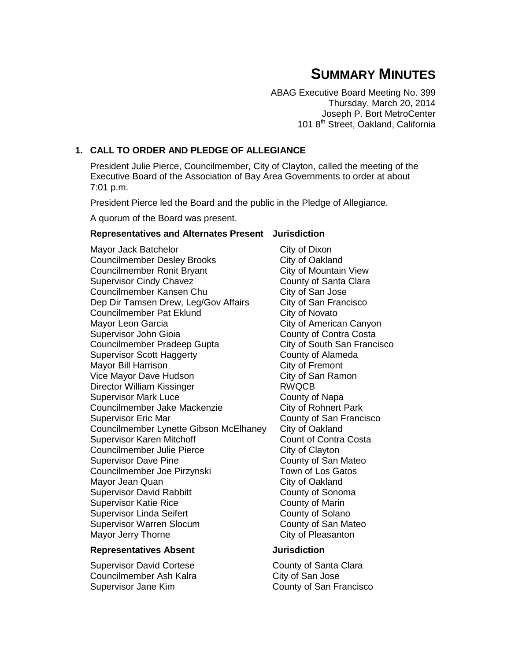# **SUMMARY MINUTES**

ABAG Executive Board Meeting No. 399 Thursday, March 20, 2014 Joseph P. Bort MetroCenter 101 8<sup>th</sup> Street, Oakland, California

# **1. CALL TO ORDER AND PLEDGE OF ALLEGIANCE**

President Julie Pierce, Councilmember, City of Clayton, called the meeting of the Executive Board of the Association of Bay Area Governments to order at about 7:01 p.m.

President Pierce led the Board and the public in the Pledge of Allegiance.

A quorum of the Board was present.

## **Representatives and Alternates Present Jurisdiction**

Mayor Jack Batchelor City of Dixon Councilmember Desley Brooks City of Oakland Councilmember Ronit Bryant City of Mountain View Supervisor Cindy Chavez County of Santa Clara Councilmember Kansen Chu<br>
City of San Jose Dep Dir Tamsen Drew, Leg/Gov Affairs City of San Francisco Councilmember Pat Eklund City of Novato Mayor Leon Garcia **City of American Canyon** Supervisor John Gioia County of Contra Costa Councilmember Pradeep Gupta City of South San Francisco Supervisor Scott Haggerty **County of Alameda** Mayor Bill Harrison **City of Fremont** Vice Mayor Dave Hudson City of San Ramon Director William Kissinger **RWQCB** Supervisor Mark Luce County of Napa Councilmember Jake Mackenzie **City of Rohnert Park** Supervisor Eric Mar County of San Francisco Councilmember Lynette Gibson McElhaney City of Oakland Supervisor Karen Mitchoff Count of Contra Costa Councilmember Julie Pierce City of Clayton Supervisor Dave Pine County of San Mateo Councilmember Joe Pirzynski<br>
Town of Los Gatos Mayor Jean Quan City of Oakland Supervisor David Rabbitt **County of Sonoma** Supervisor Katie Rice **County of Marin** Supervisor Linda Seifert County of Solano Supervisor Warren Slocum County of San Mateo Mayor Jerry Thorne **City of Pleasanton** 

#### **Representatives Absent Jurisdiction**

Supervisor David Cortese County of Santa Clara Councilmember Ash Kalra Charless City of San Jose Supervisor Jane Kim **County of San Francisco**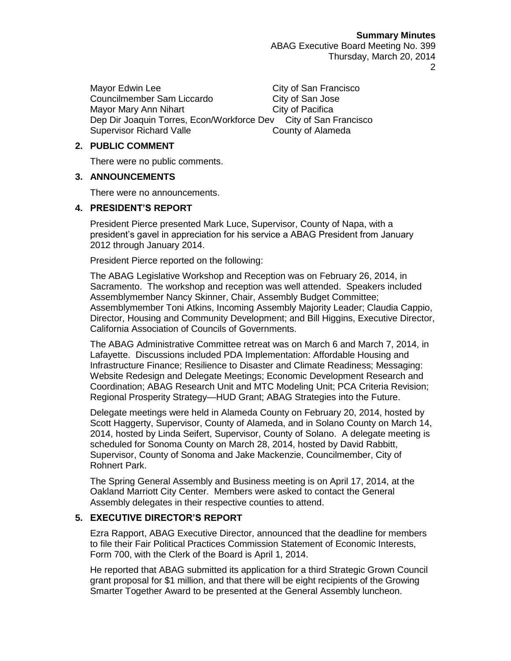Mayor Edwin Lee **City of San Francisco** Councilmember Sam Liccardo City of San Jose Mayor Mary Ann Nihart City of Pacifica Dep Dir Joaquin Torres, Econ/Workforce Dev City of San Francisco Supervisor Richard Valle County of Alameda

# **2. PUBLIC COMMENT**

There were no public comments.

# **3. ANNOUNCEMENTS**

There were no announcements.

# **4. PRESIDENT'S REPORT**

President Pierce presented Mark Luce, Supervisor, County of Napa, with a president's gavel in appreciation for his service a ABAG President from January 2012 through January 2014.

President Pierce reported on the following:

The ABAG Legislative Workshop and Reception was on February 26, 2014, in Sacramento. The workshop and reception was well attended. Speakers included Assemblymember Nancy Skinner, Chair, Assembly Budget Committee; Assemblymember Toni Atkins, Incoming Assembly Majority Leader; Claudia Cappio, Director, Housing and Community Development; and Bill Higgins, Executive Director, California Association of Councils of Governments.

The ABAG Administrative Committee retreat was on March 6 and March 7, 2014, in Lafayette. Discussions included PDA Implementation: Affordable Housing and Infrastructure Finance; Resilience to Disaster and Climate Readiness; Messaging: Website Redesign and Delegate Meetings; Economic Development Research and Coordination; ABAG Research Unit and MTC Modeling Unit; PCA Criteria Revision; Regional Prosperity Strategy—HUD Grant; ABAG Strategies into the Future.

Delegate meetings were held in Alameda County on February 20, 2014, hosted by Scott Haggerty, Supervisor, County of Alameda, and in Solano County on March 14, 2014, hosted by Linda Seifert, Supervisor, County of Solano. A delegate meeting is scheduled for Sonoma County on March 28, 2014, hosted by David Rabbitt, Supervisor, County of Sonoma and Jake Mackenzie, Councilmember, City of Rohnert Park.

The Spring General Assembly and Business meeting is on April 17, 2014, at the Oakland Marriott City Center. Members were asked to contact the General Assembly delegates in their respective counties to attend.

# **5. EXECUTIVE DIRECTOR'S REPORT**

Ezra Rapport, ABAG Executive Director, announced that the deadline for members to file their Fair Political Practices Commission Statement of Economic Interests, Form 700, with the Clerk of the Board is April 1, 2014.

He reported that ABAG submitted its application for a third Strategic Grown Council grant proposal for \$1 million, and that there will be eight recipients of the Growing Smarter Together Award to be presented at the General Assembly luncheon.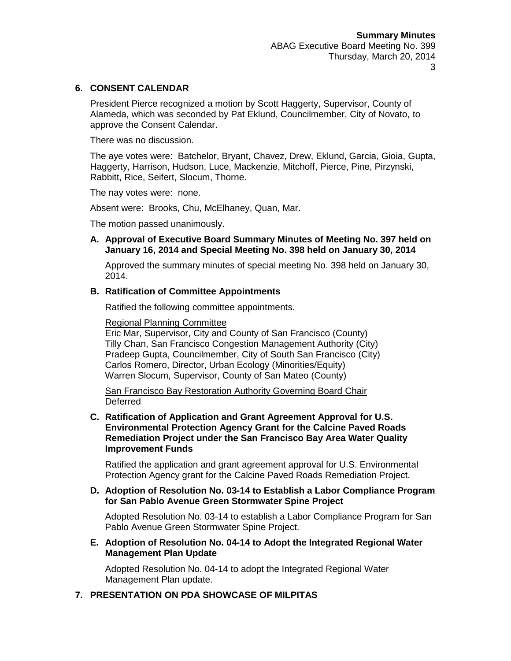# **6. CONSENT CALENDAR**

President Pierce recognized a motion by Scott Haggerty, Supervisor, County of Alameda, which was seconded by Pat Eklund, Councilmember, City of Novato, to approve the Consent Calendar.

There was no discussion.

The aye votes were: Batchelor, Bryant, Chavez, Drew, Eklund, Garcia, Gioia, Gupta, Haggerty, Harrison, Hudson, Luce, Mackenzie, Mitchoff, Pierce, Pine, Pirzynski, Rabbitt, Rice, Seifert, Slocum, Thorne.

The nay votes were: none.

Absent were: Brooks, Chu, McElhaney, Quan, Mar.

The motion passed unanimously.

#### **A. Approval of Executive Board Summary Minutes of Meeting No. 397 held on January 16, 2014 and Special Meeting No. 398 held on January 30, 2014**

Approved the summary minutes of special meeting No. 398 held on January 30, 2014.

#### **B. Ratification of Committee Appointments**

Ratified the following committee appointments.

#### Regional Planning Committee

Eric Mar, Supervisor, City and County of San Francisco (County) Tilly Chan, San Francisco Congestion Management Authority (City) Pradeep Gupta, Councilmember, City of South San Francisco (City) Carlos Romero, Director, Urban Ecology (Minorities/Equity) Warren Slocum, Supervisor, County of San Mateo (County)

San Francisco Bay Restoration Authority Governing Board Chair **Deferred** 

#### **C. Ratification of Application and Grant Agreement Approval for U.S. Environmental Protection Agency Grant for the Calcine Paved Roads Remediation Project under the San Francisco Bay Area Water Quality Improvement Funds**

Ratified the application and grant agreement approval for U.S. Environmental Protection Agency grant for the Calcine Paved Roads Remediation Project.

#### **D. Adoption of Resolution No. 03-14 to Establish a Labor Compliance Program for San Pablo Avenue Green Stormwater Spine Project**

Adopted Resolution No. 03-14 to establish a Labor Compliance Program for San Pablo Avenue Green Stormwater Spine Project.

#### **E. Adoption of Resolution No. 04-14 to Adopt the Integrated Regional Water Management Plan Update**

Adopted Resolution No. 04-14 to adopt the Integrated Regional Water Management Plan update.

#### **7. PRESENTATION ON PDA SHOWCASE OF MILPITAS**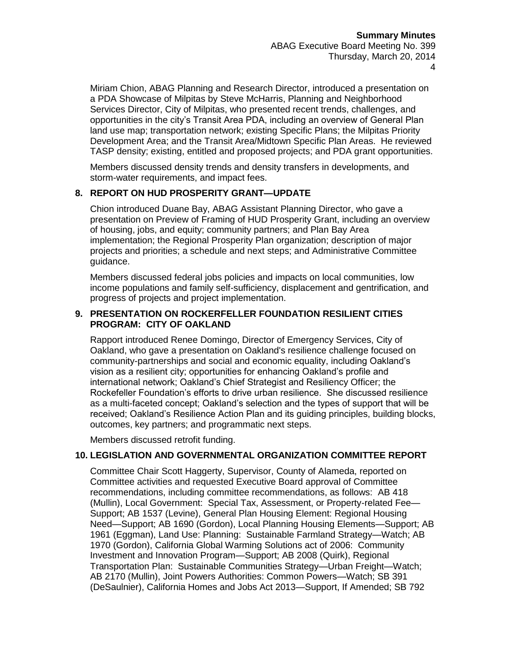Miriam Chion, ABAG Planning and Research Director, introduced a presentation on a PDA Showcase of Milpitas by Steve McHarris, Planning and Neighborhood Services Director, City of Milpitas, who presented recent trends, challenges, and opportunities in the city's Transit Area PDA, including an overview of General Plan land use map; transportation network; existing Specific Plans; the Milpitas Priority Development Area; and the Transit Area/Midtown Specific Plan Areas. He reviewed TASP density; existing, entitled and proposed projects; and PDA grant opportunities.

Members discussed density trends and density transfers in developments, and storm-water requirements, and impact fees.

# **8. REPORT ON HUD PROSPERITY GRANT—UPDATE**

Chion introduced Duane Bay, ABAG Assistant Planning Director, who gave a presentation on Preview of Framing of HUD Prosperity Grant, including an overview of housing, jobs, and equity; community partners; and Plan Bay Area implementation; the Regional Prosperity Plan organization; description of major projects and priorities; a schedule and next steps; and Administrative Committee guidance.

Members discussed federal jobs policies and impacts on local communities, low income populations and family self-sufficiency, displacement and gentrification, and progress of projects and project implementation.

# **9. PRESENTATION ON ROCKERFELLER FOUNDATION RESILIENT CITIES PROGRAM: CITY OF OAKLAND**

Rapport introduced Renee Domingo, Director of Emergency Services, City of Oakland, who gave a presentation on Oakland's resilience challenge focused on community-partnerships and social and economic equality, including Oakland's vision as a resilient city; opportunities for enhancing Oakland's profile and international network; Oakland's Chief Strategist and Resiliency Officer; the Rockefeller Foundation's efforts to drive urban resilience. She discussed resilience as a multi-faceted concept; Oakland's selection and the types of support that will be received; Oakland's Resilience Action Plan and its guiding principles, building blocks, outcomes, key partners; and programmatic next steps.

Members discussed retrofit funding.

#### **10. LEGISLATION AND GOVERNMENTAL ORGANIZATION COMMITTEE REPORT**

Committee Chair Scott Haggerty, Supervisor, County of Alameda, reported on Committee activities and requested Executive Board approval of Committee recommendations, including committee recommendations, as follows: AB 418 (Mullin), Local Government: Special Tax, Assessment, or Property-related Fee— Support; AB 1537 (Levine), General Plan Housing Element: Regional Housing Need—Support; AB 1690 (Gordon), Local Planning Housing Elements—Support; AB 1961 (Eggman), Land Use: Planning: Sustainable Farmland Strategy—Watch; AB 1970 (Gordon), California Global Warming Solutions act of 2006: Community Investment and Innovation Program—Support; AB 2008 (Quirk), Regional Transportation Plan: Sustainable Communities Strategy—Urban Freight—Watch; AB 2170 (Mullin), Joint Powers Authorities: Common Powers—Watch; SB 391 (DeSaulnier), California Homes and Jobs Act 2013—Support, If Amended; SB 792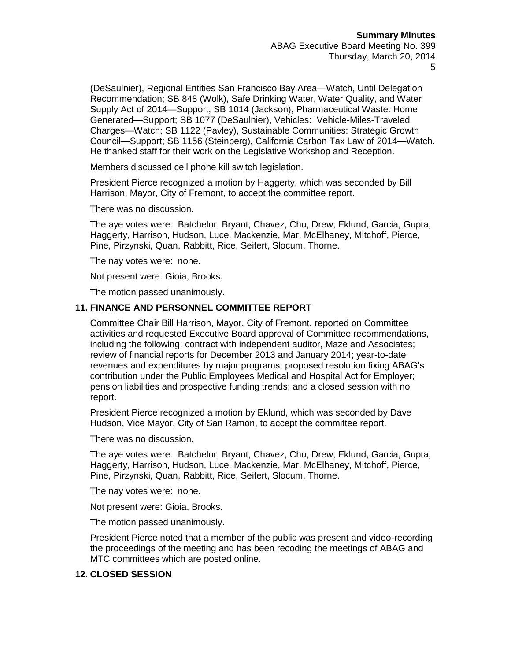(DeSaulnier), Regional Entities San Francisco Bay Area—Watch, Until Delegation Recommendation; SB 848 (Wolk), Safe Drinking Water, Water Quality, and Water Supply Act of 2014—Support; SB 1014 (Jackson), Pharmaceutical Waste: Home Generated—Support; SB 1077 (DeSaulnier), Vehicles: Vehicle-Miles-Traveled Charges—Watch; SB 1122 (Pavley), Sustainable Communities: Strategic Growth Council—Support; SB 1156 (Steinberg), California Carbon Tax Law of 2014—Watch. He thanked staff for their work on the Legislative Workshop and Reception.

Members discussed cell phone kill switch legislation.

President Pierce recognized a motion by Haggerty, which was seconded by Bill Harrison, Mayor, City of Fremont, to accept the committee report.

There was no discussion.

The aye votes were: Batchelor, Bryant, Chavez, Chu, Drew, Eklund, Garcia, Gupta, Haggerty, Harrison, Hudson, Luce, Mackenzie, Mar, McElhaney, Mitchoff, Pierce, Pine, Pirzynski, Quan, Rabbitt, Rice, Seifert, Slocum, Thorne.

The nay votes were: none.

Not present were: Gioia, Brooks.

The motion passed unanimously.

# **11. FINANCE AND PERSONNEL COMMITTEE REPORT**

Committee Chair Bill Harrison, Mayor, City of Fremont, reported on Committee activities and requested Executive Board approval of Committee recommendations, including the following: contract with independent auditor, Maze and Associates; review of financial reports for December 2013 and January 2014; year-to-date revenues and expenditures by major programs; proposed resolution fixing ABAG's contribution under the Public Employees Medical and Hospital Act for Employer; pension liabilities and prospective funding trends; and a closed session with no report.

President Pierce recognized a motion by Eklund, which was seconded by Dave Hudson, Vice Mayor, City of San Ramon, to accept the committee report.

There was no discussion.

The aye votes were: Batchelor, Bryant, Chavez, Chu, Drew, Eklund, Garcia, Gupta, Haggerty, Harrison, Hudson, Luce, Mackenzie, Mar, McElhaney, Mitchoff, Pierce, Pine, Pirzynski, Quan, Rabbitt, Rice, Seifert, Slocum, Thorne.

The nay votes were: none.

Not present were: Gioia, Brooks.

The motion passed unanimously.

President Pierce noted that a member of the public was present and video-recording the proceedings of the meeting and has been recoding the meetings of ABAG and MTC committees which are posted online.

#### **12. CLOSED SESSION**